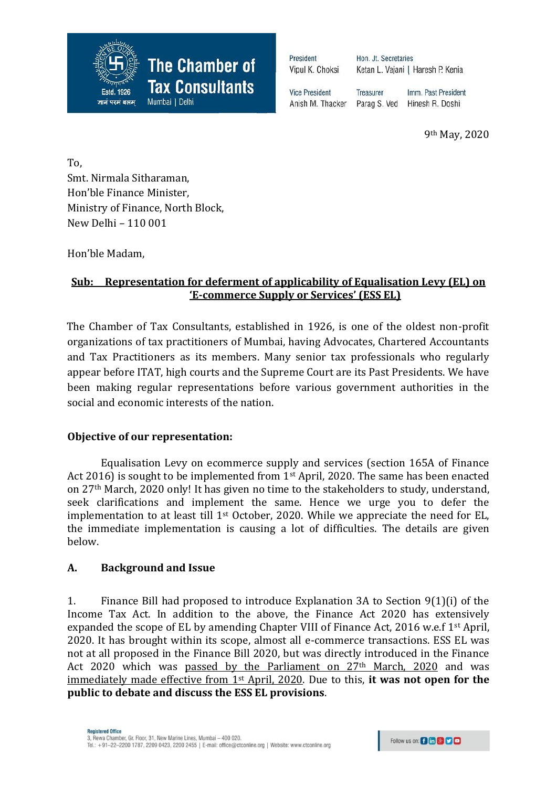

President Vipul K. Choksi Hon. Jt. Secretaries Ketan L. Vajani | Haresh P. Kenia

**Vice President** Anish M. Thacker

**Treasurer** Imm. Past President Parag S. Ved Hinesh R. Doshi

9th May, 2020

To, Smt. Nirmala Sitharaman, Hon'ble Finance Minister, Ministry of Finance, North Block, New Delhi – 110 001

Hon'ble Madam,

# **Sub: Representation for deferment of applicability of Equalisation Levy (EL) on 'E-commerce Supply or Services' (ESS EL)**

The Chamber of Tax Consultants, established in 1926, is one of the oldest non-profit organizations of tax practitioners of Mumbai, having Advocates, Chartered Accountants and Tax Practitioners as its members. Many senior tax professionals who regularly appear before ITAT, high courts and the Supreme Court are its Past Presidents. We have been making regular representations before various government authorities in the social and economic interests of the nation.

## **Objective of our representation:**

Equalisation Levy on ecommerce supply and services (section 165A of Finance Act 2016) is sought to be implemented from  $1<sup>st</sup>$  April, 2020. The same has been enacted on 27th March, 2020 only! It has given no time to the stakeholders to study, understand, seek clarifications and implement the same. Hence we urge you to defer the implementation to at least till 1<sup>st</sup> October, 2020. While we appreciate the need for EL, the immediate implementation is causing a lot of difficulties. The details are given below.

### **A. Background and Issue**

1. Finance Bill had proposed to introduce Explanation 3A to Section 9(1)(i) of the Income Tax Act. In addition to the above, the Finance Act 2020 has extensively expanded the scope of EL by amending Chapter VIII of Finance Act, 2016 w.e.f 1<sup>st</sup> April, 2020. It has brought within its scope, almost all e-commerce transactions. ESS EL was not at all proposed in the Finance Bill 2020, but was directly introduced in the Finance Act 2020 which was passed by the Parliament on 27<sup>th</sup> March, 2020 and was immediately made effective from 1st April, 2020. Due to this, **it was not open for the public to debate and discuss the ESS EL provisions**.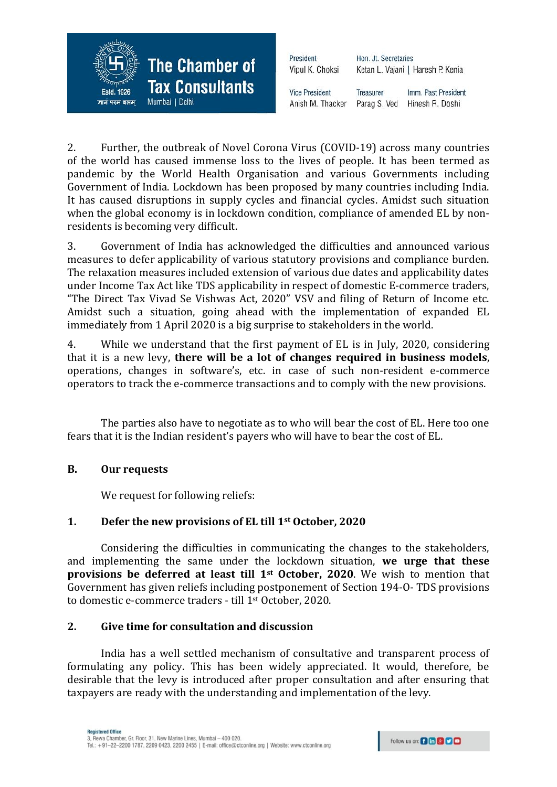

| Hon. Jt. Secretaries              |  |
|-----------------------------------|--|
| Ketan L. Vajani   Haresh P. Kenia |  |
|                                   |  |

**Vice President** Treasurer Imm. Past President Parag S. Ved Anish M. Thacker Hinesh R. Doshi

2. Further, the outbreak of Novel Corona Virus (COVID-19) across many countries of the world has caused immense loss to the lives of people. It has been termed as pandemic by the World Health Organisation and various Governments including Government of India. Lockdown has been proposed by many countries including India. It has caused disruptions in supply cycles and financial cycles. Amidst such situation when the global economy is in lockdown condition, compliance of amended EL by nonresidents is becoming very difficult.

3. Government of India has acknowledged the difficulties and announced various measures to defer applicability of various statutory provisions and compliance burden. The relaxation measures included extension of various due dates and applicability dates under Income Tax Act like TDS applicability in respect of domestic E-commerce traders, "The Direct Tax Vivad Se Vishwas Act, 2020" VSV and filing of Return of Income etc. Amidst such a situation, going ahead with the implementation of expanded EL immediately from 1 April 2020 is a big surprise to stakeholders in the world.

4. While we understand that the first payment of EL is in July, 2020, considering that it is a new levy, **there will be a lot of changes required in business models**, operations, changes in software's, etc. in case of such non-resident e-commerce operators to track the e-commerce transactions and to comply with the new provisions.

The parties also have to negotiate as to who will bear the cost of EL. Here too one fears that it is the Indian resident's payers who will have to bear the cost of EL.

### **B. Our requests**

We request for following reliefs:

### **1. Defer the new provisions of EL till 1st October, 2020**

Considering the difficulties in communicating the changes to the stakeholders, and implementing the same under the lockdown situation, **we urge that these provisions be deferred at least till 1st October, 2020**. We wish to mention that Government has given reliefs including postponement of Section 194-O- TDS provisions to domestic e-commerce traders - till 1st October, 2020.

#### **2. Give time for consultation and discussion**

India has a well settled mechanism of consultative and transparent process of formulating any policy. This has been widely appreciated. It would, therefore, be desirable that the levy is introduced after proper consultation and after ensuring that taxpayers are ready with the understanding and implementation of the levy.